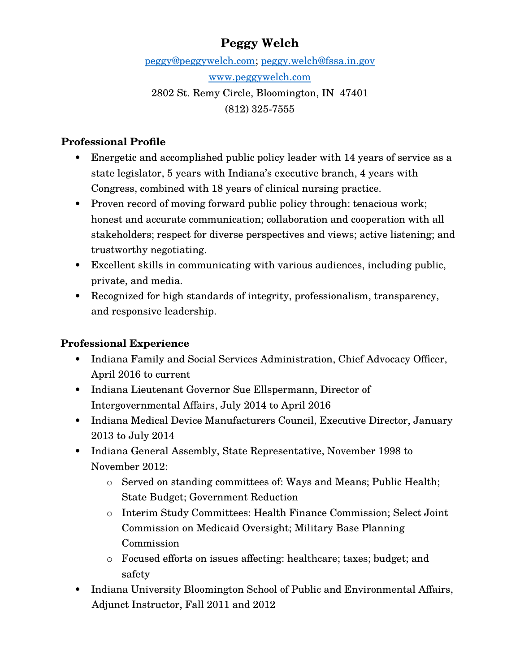# **Peggy Welch**

peggy@peggywelch.com; peggy.welch@fssa.in.gov www.peggywelch.com 2802 St. Remy Circle, Bloomington, IN 47401

(812) 325-7555

#### **Professional Profile**

- Energetic and accomplished public policy leader with 14 years of service as a state legislator, 5 years with Indiana's executive branch, 4 years with Congress, combined with 18 years of clinical nursing practice.
- Proven record of moving forward public policy through: tenacious work; honest and accurate communication; collaboration and cooperation with all stakeholders; respect for diverse perspectives and views; active listening; and trustworthy negotiating.
- Excellent skills in communicating with various audiences, including public, private, and media.
- Recognized for high standards of integrity, professionalism, transparency, and responsive leadership.

### **Professional Experience**

- Indiana Family and Social Services Administration, Chief Advocacy Officer, April 2016 to current
- Indiana Lieutenant Governor Sue Ellspermann, Director of Intergovernmental Affairs, July 2014 to April 2016
- Indiana Medical Device Manufacturers Council, Executive Director, January 2013 to July 2014
- Indiana General Assembly, State Representative, November 1998 to November 2012:
	- o Served on standing committees of: Ways and Means; Public Health; State Budget; Government Reduction
	- o Interim Study Committees: Health Finance Commission; Select Joint Commission on Medicaid Oversight; Military Base Planning Commission
	- o Focused efforts on issues affecting: healthcare; taxes; budget; and safety
- Indiana University Bloomington School of Public and Environmental Affairs, Adjunct Instructor, Fall 2011 and 2012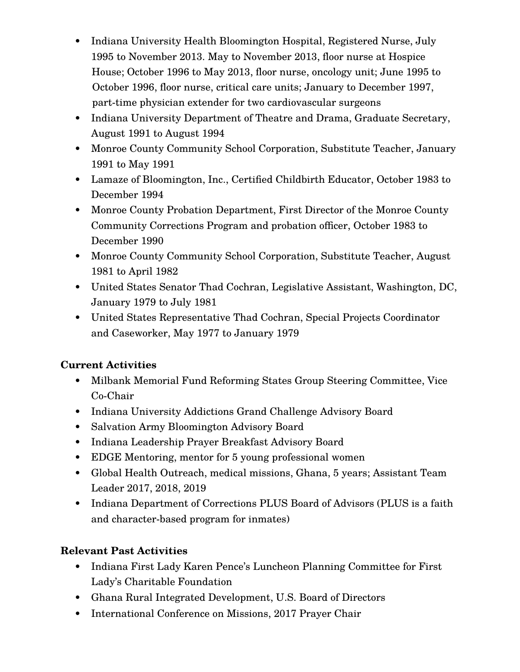- Indiana University Health Bloomington Hospital, Registered Nurse, July 1995 to November 2013. May to November 2013, floor nurse at Hospice House; October 1996 to May 2013, floor nurse, oncology unit; June 1995 to October 1996, floor nurse, critical care units; January to December 1997, part-time physician extender for two cardiovascular surgeons
- Indiana University Department of Theatre and Drama, Graduate Secretary, August 1991 to August 1994
- Monroe County Community School Corporation, Substitute Teacher, January 1991 to May 1991
- Lamaze of Bloomington, Inc., Certified Childbirth Educator, October 1983 to December 1994
- Monroe County Probation Department, First Director of the Monroe County Community Corrections Program and probation officer, October 1983 to December 1990
- Monroe County Community School Corporation, Substitute Teacher, August 1981 to April 1982
- United States Senator Thad Cochran, Legislative Assistant, Washington, DC, January 1979 to July 1981
- United States Representative Thad Cochran, Special Projects Coordinator and Caseworker, May 1977 to January 1979

#### **Current Activities**

- Milbank Memorial Fund Reforming States Group Steering Committee, Vice Co-Chair
- Indiana University Addictions Grand Challenge Advisory Board
- Salvation Army Bloomington Advisory Board
- Indiana Leadership Prayer Breakfast Advisory Board
- EDGE Mentoring, mentor for 5 young professional women
- Global Health Outreach, medical missions, Ghana, 5 years; Assistant Team Leader 2017, 2018, 2019
- Indiana Department of Corrections PLUS Board of Advisors (PLUS is a faith and character-based program for inmates)

### **Relevant Past Activities**

- Indiana First Lady Karen Pence's Luncheon Planning Committee for First Lady's Charitable Foundation
- Ghana Rural Integrated Development, U.S. Board of Directors
- International Conference on Missions, 2017 Prayer Chair